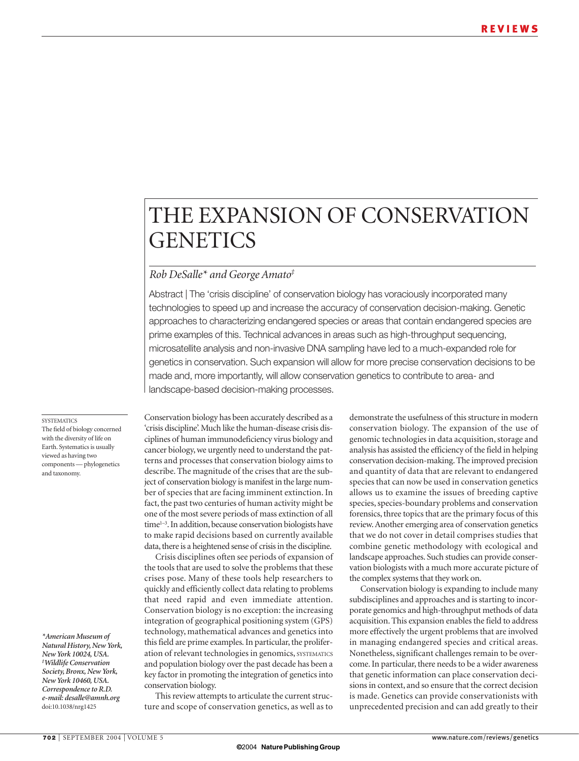# THE EXPANSION OF CONSERVATION **GENETICS**

## *Rob DeSalle\* and George Amato‡*

Abstract | The 'crisis discipline' of conservation biology has voraciously incorporated many technologies to speed up and increase the accuracy of conservation decision-making. Genetic approaches to characterizing endangered species or areas that contain endangered species are prime examples of this. Technical advances in areas such as high-throughput sequencing, microsatellite analysis and non-invasive DNA sampling have led to a much-expanded role for genetics in conservation. Such expansion will allow for more precise conservation decisions to be made and, more importantly, will allow conservation genetics to contribute to area- and landscape-based decision-making processes.

**SYSTEMATICS** The field of biology concerned with the diversity of life on Earth. Systematics is usually viewed as having two components — phylogenetics and taxonomy.

*\*American Museum of Natural History, New York, New York 10024, USA. ‡ Wildlife Conservation Society, Bronx, New York, New York 10460, USA. Correspondence to R.D. e-mail: desalle@amnh.org* doi:10.1038/nrg1425

Conservation biology has been accurately described as a 'crisis discipline'. Much like the human-disease crisis disciplines of human immunodeficiency virus biology and cancer biology, we urgently need to understand the patterns and processes that conservation biology aims to describe. The magnitude of the crises that are the subject of conservation biology is manifest in the large number of species that are facing imminent extinction. In fact, the past two centuries of human activity might be one of the most severe periods of mass extinction of all time<sup>1-3</sup>. In addition, because conservation biologists have to make rapid decisions based on currently available data, there is a heightened sense of crisis in the discipline.

Crisis disciplines often see periods of expansion of the tools that are used to solve the problems that these crises pose. Many of these tools help researchers to quickly and efficiently collect data relating to problems that need rapid and even immediate attention. Conservation biology is no exception: the increasing integration of geographical positioning system (GPS) technology, mathematical advances and genetics into this field are prime examples. In particular, the proliferation of relevant technologies in genomics, SYSTEMATICS and population biology over the past decade has been a key factor in promoting the integration of genetics into conservation biology.

This review attempts to articulate the current structure and scope of conservation genetics, as well as to demonstrate the usefulness of this structure in modern conservation biology. The expansion of the use of genomic technologies in data acquisition, storage and analysis has assisted the efficiency of the field in helping conservation decision-making. The improved precision and quantity of data that are relevant to endangered species that can now be used in conservation genetics allows us to examine the issues of breeding captive species, species-boundary problems and conservation forensics, three topics that are the primary focus of this review. Another emerging area of conservation genetics that we do not cover in detail comprises studies that combine genetic methodology with ecological and landscape approaches. Such studies can provide conservation biologists with a much more accurate picture of the complex systems that they work on.

Conservation biology is expanding to include many subdisciplines and approaches and is starting to incorporate genomics and high-throughput methods of data acquisition. This expansion enables the field to address more effectively the urgent problems that are involved in managing endangered species and critical areas. Nonetheless, significant challenges remain to be overcome. In particular, there needs to be a wider awareness that genetic information can place conservation decisions in context, and so ensure that the correct decision is made. Genetics can provide conservationists with unprecedented precision and can add greatly to their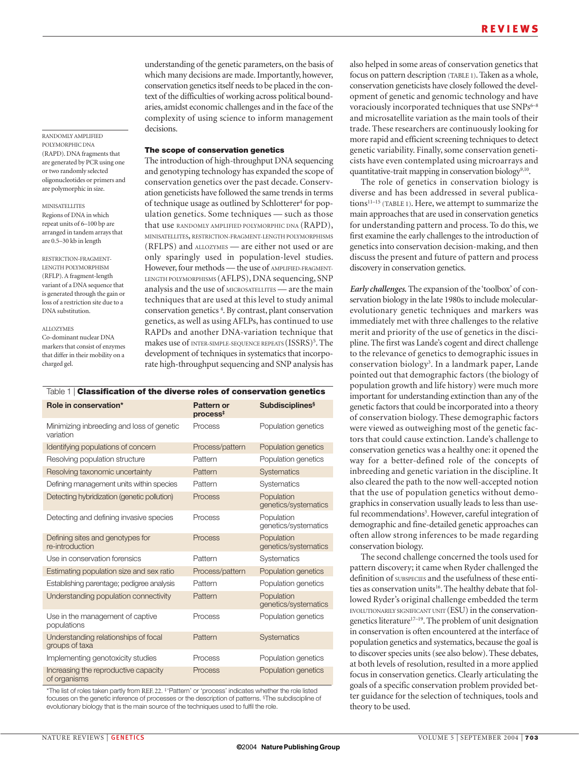understanding of the genetic parameters, on the basis of which many decisions are made. Importantly, however, conservation genetics itself needs to be placed in the context of the difficulties of working across political boundaries, amidst economic challenges and in the face of the complexity of using science to inform management decisions.

## **The scope of conservation genetics**

The introduction of high-throughput DNA sequencing and genotyping technology has expanded the scope of conservation genetics over the past decade. Conservation geneticists have followed the same trends in terms of technique usage as outlined by Schlotterer<sup>4</sup> for population genetics. Some techniques — such as those that use RANDOMLY AMPLIFIED POLYMORPHIC DNA (RAPD), MINISATELLITES, RESTRICTION-FRAGMENT-LENGTH POLYMORPHISMS (RFLPS) and ALLOZYMES — are either not used or are only sparingly used in population-level studies. However, four methods - the use of AMPLIFIED-FRAGMENT-LENGTH POLYMORPHISMS (AFLPS), DNA sequencing, SNP analysis and the use of MICROSATELLITES — are the main techniques that are used at this level to study animal conservation genetics 4 . By contrast, plant conservation genetics, as well as using AFLPs, has continued to use RAPDs and another DNA-variation technique that makes use of INTER-SIMPLE-SEQUENCE REPEATS (ISSRS)<sup>5</sup>. The development of techniques in systematics that incorporate high-throughput sequencing and SNP analysis has

## Table 1 | **Classification of the diverse roles of conservation genetics**

| Role in conservation*                                  | Pattern or<br>process <sup>‡</sup> | <b>Subdisciplines</b> <sup>§</sup> |
|--------------------------------------------------------|------------------------------------|------------------------------------|
| Minimizing inbreeding and loss of genetic<br>variation | Process                            | Population genetics                |
| Identifying populations of concern                     | Process/pattern                    | Population genetics                |
| Resolving population structure                         | Pattern                            | Population genetics                |
| Resolving taxonomic uncertainty                        | Pattern                            | <b>Systematics</b>                 |
| Defining management units within species               | Pattern                            | Systematics                        |
| Detecting hybridization (genetic pollution)            | Process                            | Population<br>genetics/systematics |
| Detecting and defining invasive species                | Process                            | Population<br>genetics/systematics |
| Defining sites and genotypes for<br>re-introduction    | Process                            | Population<br>genetics/systematics |
| Use in conservation forensics                          | Pattern                            | Systematics                        |
| Estimating population size and sex ratio               | Process/pattern                    | Population genetics                |
| Establishing parentage; pedigree analysis              | Pattern                            | Population genetics                |
| Understanding population connectivity                  | Pattern                            | Population<br>genetics/systematics |
| Use in the management of captive<br>populations        | Process                            | Population genetics                |
| Understanding relationships of focal<br>groups of taxa | Pattern                            | <b>Systematics</b>                 |
| Implementing genotoxicity studies                      | Process                            | Population genetics                |
| Increasing the reproductive capacity<br>of organisms   | Process                            | Population genetics                |

\*The list of roles taken partly from REF. 22. ‡'Pattern' or 'process' indicates whether the role listed focuses on the genetic inference of processes or the description of patterns. <sup>§</sup>The subdiscipline of evolutionary biology that is the main source of the techniques used to fulfil the role.

also helped in some areas of conservation genetics that focus on pattern description (TABLE 1). Taken as a whole, conservation geneticists have closely followed the development of genetic and genomic technology and have voraciously incorporated techniques that use SNPs<sup>6–8</sup> and microsatellite variation as the main tools of their trade. These researchers are continuously looking for more rapid and efficient screening techniques to detect genetic variability. Finally, some conservation geneticists have even contemplated using microarrays and quantitative-trait mapping in conservation biology<sup>9,10</sup>.

The role of genetics in conservation biology is diverse and has been addressed in several publications<sup>11-15</sup> (TABLE 1). Here, we attempt to summarize the main approaches that are used in conservation genetics for understanding pattern and process. To do this, we first examine the early challenges to the introduction of genetics into conservation decision-making, and then discuss the present and future of pattern and process discovery in conservation genetics.

*Early challenges.* The expansion of the 'toolbox' of conservation biology in the late 1980s to include molecularevolutionary genetic techniques and markers was immediately met with three challenges to the relative merit and priority of the use of genetics in the discipline. The first was Lande's cogent and direct challenge to the relevance of genetics to demographic issues in conservation biology<sup>3</sup>. In a landmark paper, Lande pointed out that demographic factors (the biology of population growth and life history) were much more important for understanding extinction than any of the genetic factors that could be incorporated into a theory of conservation biology. These demographic factors were viewed as outweighing most of the genetic factors that could cause extinction. Lande's challenge to conservation genetics was a healthy one: it opened the way for a better-defined role of the concepts of inbreeding and genetic variation in the discipline. It also cleared the path to the now well-accepted notion that the use of population genetics without demographics in conservation usually leads to less than useful recommendations<sup>3</sup>. However, careful integration of demographic and fine-detailed genetic approaches can often allow strong inferences to be made regarding conservation biology.

The second challenge concerned the tools used for pattern discovery; it came when Ryder challenged the definition of SUBSPECIES and the usefulness of these entities as conservation units<sup>16</sup>. The healthy debate that followed Ryder's original challenge embedded the term EVOLUTIONARILY SIGNIFICANT UNIT (ESU) in the conservationgenetics literature17–19. The problem of unit designation in conservation is often encountered at the interface of population genetics and systematics, because the goal is to discover species units (see also below). These debates, at both levels of resolution, resulted in a more applied focus in conservation genetics. Clearly articulating the goals of a specific conservation problem provided better guidance for the selection of techniques, tools and theory to be used.

RANDOMLY AMPLIFIED POLYMORPHIC DNA (RAPD). DNA fragments that are generated by PCR using one or two randomly selected oligonucleotides or primers and are polymorphic in size.

#### Regions of DNA in which repeat units of 6–100 bp are arranged in tandem arrays that are 0.5–30 kb in length

**MINISATELLITES** 

RESTRICTION-FRAGMENT-LENGTH POLYMORPHISM (RFLP). A fragment-length variant of a DNA sequence that is generated through the gain or loss of a restriction site due to a DNA substitution.

#### ALLOZYMES

Co-dominant nuclear DNA markers that consist of enzymes that differ in their mobility on a charged gel.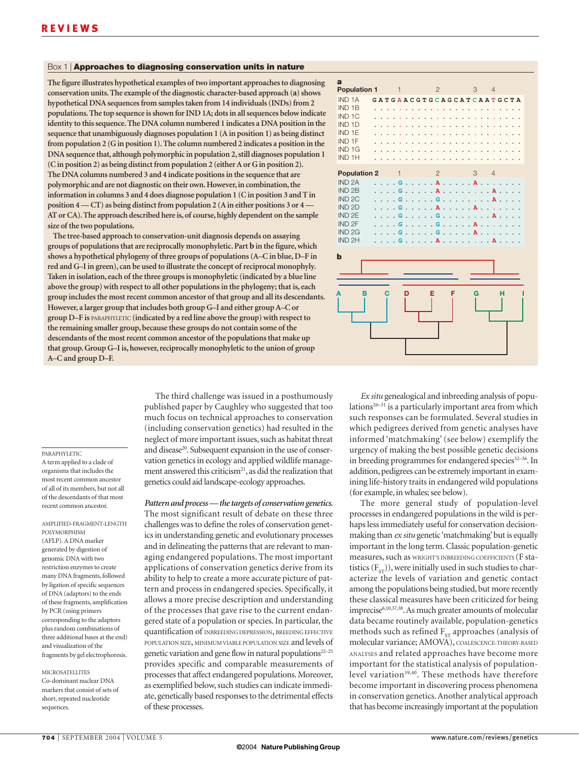## Box 1 | **Approaches to diagnosing conservation units in nature**

**The figure illustrates hypothetical examples of two important approaches to diagnosing conservation units. The example of the diagnostic character-based approach (a) shows hypothetical DNA sequences from samples taken from 14 individuals (INDs) from 2 populations. The top sequence is shown for IND 1A; dots in all sequences below indicate identity to this sequence. The DNA column numbered 1 indicates a DNA position in the sequence that unambiguously diagnoses population 1 (A in position 1) as being distinct from population 2 (G in position 1). The column numbered 2 indicates a position in the DNA sequence that, although polymorphic in population 2, still diagnoses population 1 (C in position 2) as being distinct from population 2 (either A or G in position 2). The DNA columns numbered 3 and 4 indicate positions in the sequence that are polymorphic and are not diagnostic on their own. However, in combination, the information in columns 3 and 4 does diagnose population 1 (C in position 3 and T in position 4 — CT) as being distinct from population 2 (A in either positions 3 or 4 — AT or CA). The approach described here is, of course, highly dependent on the sample size of the two populations.**

**The tree-based approach to conservation-unit diagnosis depends on assaying groups of populations that are reciprocally monophyletic. Part b in the figure, which shows a hypothetical phylogeny of three groups of populations (A–C in blue, D–F in red and G–I in green), can be used to illustrate the concept of reciprocal monophyly. Taken in isolation, each of the three groups is monophyletic (indicated by a blue line above the group) with respect to all other populations in the phylogeny; that is, each group includes the most recent common ancestor of that group and all its descendants. However, a larger group that includes both group G–I and either group A–C or group D–F is** PARAPHYLETIC **(indicated by a red line above the group) with respect to the remaining smaller group, because these groups do not contain some of the descendants of the most recent common ancestor of the populations that make up that group. Group G–I is, however, reciprocally monophyletic to the union of group A–C and group D–F.**



organisms that includes the most recent common ancestor of all of its members, but not all of the descendants of that most recent common ancestor.

AMPLIFIED-FRAGMENT-LENGTH POLYMORPHISM (AFLP). A DNA marker generated by digestion of genomic DNA with two restriction enzymes to create many DNA fragments, followed by ligation of specific sequences of DNA (adaptors) to the ends of these fragments, amplification by PCR (using primers corresponding to the adaptors plus random combinations of three additional bases at the end) and visualization of the fragments by gel electrophoresis.

## **MICROSATELLITES** Co-dominant nuclear DNA

markers that consist of sets of short, repeated nucleotide sequences.

The third challenge was issued in a posthumously published paper by Caughley who suggested that too much focus on technical approaches to conservation (including conservation genetics) had resulted in the neglect of more important issues, such as habitat threat and disease<sup>20</sup>. Subsequent expansion in the use of conservation genetics in ecology and applied wildlife management answered this criticism<sup>21</sup>, as did the realization that genetics could aid landscape-ecology approaches.

## *Pattern and process — the targets of conservation genetics.*

The most significant result of debate on these three challenges was to define the roles of conservation genetics in understanding genetic and evolutionary processes and in delineating the patterns that are relevant to managing endangered populations. The most important applications of conservation genetics derive from its ability to help to create a more accurate picture of pattern and process in endangered species. Specifically, it allows a more precise description and understanding of the processes that gave rise to the current endangered state of a population or species. In particular, the quantification of INBREEDING DEPRESSION, BREEDING EFFECTIVE POPULATION SIZE, MINIMUM VIABLE POPULATION SIZE and levels of genetic variation and gene flow in natural populations $22-25$ provides specific and comparable measurements of processes that affect endangered populations. Moreover, as exemplified below, such studies can indicate immediate, genetically based responses to the detrimental effects of these processes.



*Ex situ* genealogical and inbreeding analysis of populations<sup>26-31</sup> is a particularly important area from which such responses can be formulated. Several studies in which pedigrees derived from genetic analyses have informed 'matchmaking' (see below) exemplify the urgency of making the best possible genetic decisions in breeding programmes for endangered species<sup>32-36</sup>. In addition, pedigrees can be extremely important in examining life-history traits in endangered wild populations (for example, in whales; see below).

The more general study of population-level processes in endangered populations in the wild is perhaps less immediately useful for conservation decisionmaking than *ex situ* genetic 'matchmaking' but is equally important in the long term. Classic population-genetic measures, such as WRIGHT'S INBREEDING COEFFICIENTS (F statistics  $(F_{\infty})$ , were initially used in such studies to characterize the levels of variation and genetic contact among the populations being studied, but more recently these classical measures have been criticized for being imprecise<sup>6,10,37,38</sup>. As much greater amounts of molecular data became routinely available, population-genetics methods such as refined  $F_{ST}$  approaches (analysis of molecular variance; AMOVA), COALESCENCE-THEORY-BASED ANALYSES and related approaches have become more important for the statistical analysis of populationlevel variation<sup>39,40</sup>. These methods have therefore become important in discovering process phenomena in conservation genetics. Another analytical approach that has become increasingly important at the population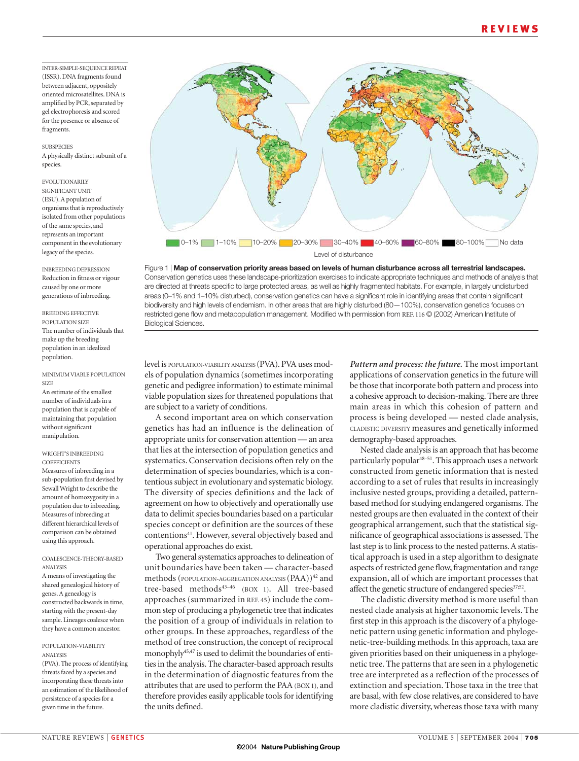INTER-SIMPLE-SEQUENCE REPEAT (ISSR). DNA fragments found between adjacent, oppositely oriented microsatellites. DNA is amplified by PCR, separated by gel electrophoresis and scored for the presence or absence of fragments.

#### SUBSPECIES A physically distinct subunit of a species.

EVOLUTIONARILY SIGNIFICANT UNIT (ESU).A population of organisms that is reproductively isolated from other populations of the same species, and represents an important component in the evolutionary legacy of the species.

INBREEDING DEPRESSION Reduction in fitness or vigour caused by one or more generations of inbreeding.

#### BREEDING EFFECTIVE POPULATION SIZE The number of individuals that make up the breeding population in an idealized population.

#### MINIMUM VIABLE POPULATION SIZE

An estimate of the smallest number of individuals in a population that is capable of maintaining that population without significant manipulation.

## WRIGHT'S INBREEDING **COEFFICIENTS**

Measures of inbreeding in a sub-population first devised by Sewall Wright to describe the amount of homozygosity in a population due to inbreeding. Measures of inbreeding at different hierarchical levels of comparison can be obtained using this approach.

#### COALESCENCE-THEORY-BASED ANALYSIS

A means of investigating the shared genealogical history of genes. A genealogy is constructed backwards in time, starting with the present-day sample. Lineages coalesce when they have a common ancestor.

#### POPULATION-VIABILITY ANALYSIS

(PVA). The process of identifying threats faced by a species and incorporating these threats into an estimation of the likelihood of persistence of a species for a given time in the future.



Figure 1 | **Map of conservation priority areas based on levels of human disturbance across all terrestrial landscapes.** Conservation genetics uses these landscape-prioritization exercises to indicate appropriate techniques and methods of analysis that are directed at threats specific to large protected areas, as well as highly fragmented habitats. For example, in largely undisturbed areas (0–1% and 1–10% disturbed), conservation genetics can have a significant role in identifying areas that contain significant biodiversity and high levels of endemism. In other areas that are highly disturbed (80—100%), conservation genetics focuses on restricted gene flow and metapopulation management. Modified with permission from REF. 116 © (2002) American Institute of Biological Sciences.

level is POPULATION-VIABILITY ANALYSIS (PVA). PVA uses models of population dynamics (sometimes incorporating genetic and pedigree information) to estimate minimal viable population sizes for threatened populations that are subject to a variety of conditions.

A second important area on which conservation genetics has had an influence is the delineation of appropriate units for conservation attention — an area that lies at the intersection of population genetics and systematics. Conservation decisions often rely on the determination of species boundaries, which is a contentious subject in evolutionary and systematic biology. The diversity of species definitions and the lack of agreement on how to objectively and operationally use data to delimit species boundaries based on a particular species concept or definition are the sources of these contentions<sup>41</sup>. However, several objectively based and operational approaches do exist.

Two general systematics approaches to delineation of unit boundaries have been taken — character-based methods (POPULATION-AGGREGATION ANALYSIS (PAA))<sup>42</sup> and tree-based methods<sup>43-46</sup> (BOX 1). All tree-based approaches (summarized in REF. 45) include the common step of producing a phylogenetic tree that indicates the position of a group of individuals in relation to other groups. In these approaches, regardless of the method of tree construction, the concept of reciprocal monophyly45,47 is used to delimit the boundaries of entities in the analysis. The character-based approach results in the determination of diagnostic features from the attributes that are used to perform the PAA (BOX 1), and therefore provides easily applicable tools for identifying the units defined.

*Pattern and process: the future.* The most important applications of conservation genetics in the future will be those that incorporate both pattern and process into a cohesive approach to decision-making. There are three main areas in which this cohesion of pattern and process is being developed — nested clade analysis, CLADISTIC DIVERSITY measures and genetically informed demography-based approaches.

Nested clade analysis is an approach that has become particularly popular<sup>48–51</sup>. This approach uses a network constructed from genetic information that is nested according to a set of rules that results in increasingly inclusive nested groups, providing a detailed, patternbased method for studying endangered organisms. The nested groups are then evaluated in the context of their geographical arrangement, such that the statistical significance of geographical associations is assessed. The last step is to link process to the nested patterns. A statistical approach is used in a step algorithm to designate aspects of restricted gene flow, fragmentation and range expansion, all of which are important processes that affect the genetic structure of endangered species<sup>37;52</sup>.

The cladistic diversity method is more useful than nested clade analysis at higher taxonomic levels. The first step in this approach is the discovery of a phylogenetic pattern using genetic information and phylogenetic-tree-building methods. In this approach, taxa are given priorities based on their uniqueness in a phylogenetic tree. The patterns that are seen in a phylogenetic tree are interpreted as a reflection of the processes of extinction and speciation. Those taxa in the tree that are basal, with few close relatives, are considered to have more cladistic diversity, whereas those taxa with many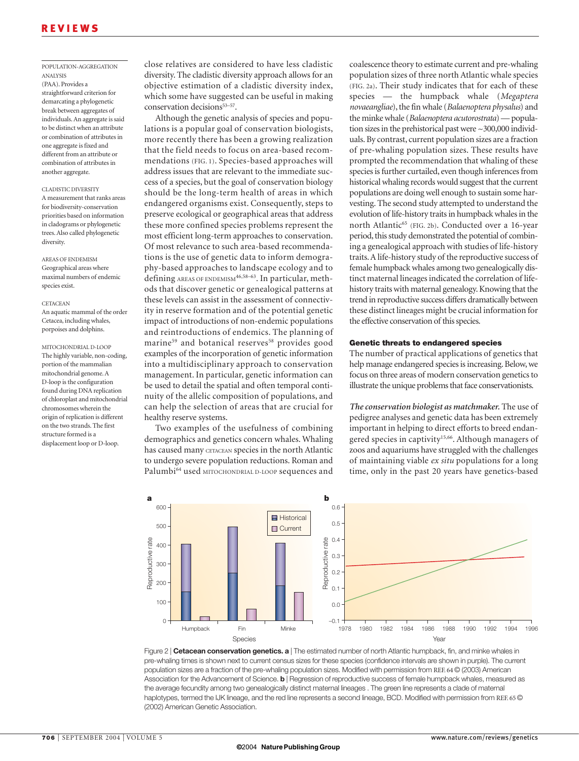# REVIEWS

#### POPULATION-AGGREGATION **ANALYSIS** (PAA). Provides a straightforward criterion for demarcating a phylogenetic break between aggregates of individuals. An aggregate is said to be distinct when an attribute or combination of attributes in one aggregate is fixed and different from an attribute or combination of attributes in another aggregate.

CLADISTIC DIVERSITY A measurement that ranks areas for biodiversity-conservation priorities based on information in cladograms or phylogenetic trees. Also called phylogenetic diversity.

AREAS OF ENDEMISM Geographical areas where maximal numbers of endemic species exist.

#### CETACEAN

An aquatic mammal of the order Cetacea, including whales, porpoises and dolphins.

MITOCHONDRIAL D-LOOP The highly variable, non-coding, portion of the mammalian mitochondrial genome. A D-loop is the configuration found during DNA replication of chloroplast and mitochondrial chromosomes wherein the origin of replication is different on the two strands. The first structure formed is a displacement loop or D-loop.

close relatives are considered to have less cladistic diversity. The cladistic diversity approach allows for an objective estimation of a cladistic diversity index, which some have suggested can be useful in making conservation decisions<sup>53-57</sup>.

Although the genetic analysis of species and populations is a popular goal of conservation biologists, more recently there has been a growing realization that the field needs to focus on area-based recommendations (FIG. 1). Species-based approaches will address issues that are relevant to the immediate success of a species, but the goal of conservation biology should be the long-term health of areas in which endangered organisms exist. Consequently, steps to preserve ecological or geographical areas that address these more confined species problems represent the most efficient long-term approaches to conservation. Of most relevance to such area-based recommendations is the use of genetic data to inform demography-based approaches to landscape ecology and to defining AREAS OF ENDEMISM<sup>46,58-63</sup>. In particular, methods that discover genetic or genealogical patterns at these levels can assist in the assessment of connectivity in reserve formation and of the potential genetic impact of introductions of non-endemic populations and reintroductions of endemics. The planning of marine<sup>59</sup> and botanical reserves<sup>58</sup> provides good examples of the incorporation of genetic information into a multidisciplinary approach to conservation management. In particular, genetic information can be used to detail the spatial and often temporal continuity of the allelic composition of populations, and can help the selection of areas that are crucial for healthy reserve systems.

Two examples of the usefulness of combining demographics and genetics concern whales. Whaling has caused many CETACEAN species in the north Atlantic to undergo severe population reductions. Roman and Palumbi<sup>64</sup> used MITOCHONDRIAL D-LOOP sequences and

coalescence theory to estimate current and pre-whaling population sizes of three north Atlantic whale species (FIG. 2a). Their study indicates that for each of these species — the humpback whale (*Megaptera novaeangliae*), the fin whale (*Balaenoptera physalus*) and the minke whale (*Balaenoptera acutorostrata*) — population sizes in the prehistorical past were ~300,000 individuals. By contrast, current population sizes are a fraction of pre-whaling population sizes. These results have prompted the recommendation that whaling of these species is further curtailed, even though inferences from historical whaling records would suggest that the current populations are doing well enough to sustain some harvesting. The second study attempted to understand the evolution of life-history traits in humpback whales in the north Atlantic<sup>65</sup> (FIG. 2b). Conducted over a 16-year period, this study demonstrated the potential of combining a genealogical approach with studies of life-history traits. A life-history study of the reproductive success of female humpback whales among two genealogically distinct maternal lineages indicated the correlation of lifehistory traits with maternal genealogy. Knowing that the trend in reproductive success differs dramatically between these distinct lineages might be crucial information for the effective conservation of this species.

## **Genetic threats to endangered species**

The number of practical applications of genetics that help manage endangered species is increasing. Below, we focus on three areas of modern conservation genetics to illustrate the unique problems that face conservationists.

*The conservation biologist as matchmaker.* The use of pedigree analyses and genetic data has been extremely important in helping to direct efforts to breed endangered species in captivity<sup>15,66</sup>. Although managers of zoos and aquariums have struggled with the challenges of maintaining viable *ex situ* populations for a long time, only in the past 20 years have genetics-based



Figure 2 | Cetacean conservation genetics. a | The estimated number of north Atlantic humpback, fin, and minke whales in pre-whaling times is shown next to current census sizes for these species (confidence intervals are shown in purple). The current population sizes are a fraction of the pre-whaling population sizes. Modified with permission from REF. 64 © (2003) American Association for the Advancement of Science. **b** | Regression of reproductive success of female humpback whales, measured as the average fecundity among two genealogically distinct maternal lineages . The green line represents a clade of maternal haplotypes, termed the IJK lineage, and the red line represents a second lineage, BCD. Modified with permission from REF. 65 © (2002) American Genetic Association.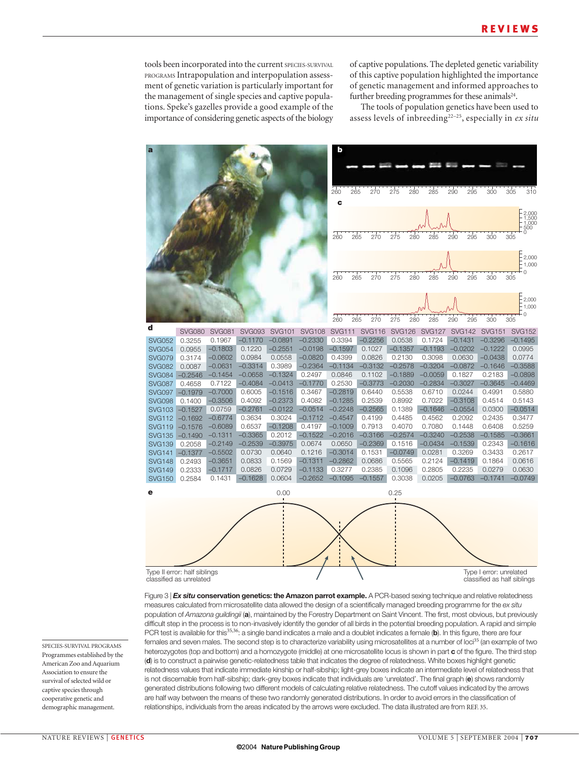tools been incorporated into the current SPECIES-SURVIVAL PROGRAMS Intrapopulation and interpopulation assessment of genetic variation is particularly important for the management of single species and captive populations. Speke's gazelles provide a good example of the importance of considering genetic aspects of the biology of captive populations. The depleted genetic variability of this captive population highlighted the importance of genetic management and informed approaches to further breeding programmes for these animals<sup>24</sup>.

The tools of population genetics have been used to assess levels of inbreeding22–25, especially in *ex situ*



SPECIES-SURVIVAL PROGRAMS Programmes established by the American Zoo and Aquarium Association to ensure the survival of selected wild or captive species through cooperative genetic and demographic management.

population of *Amazona guildingii* (**a**), maintained by the Forestry Department on Saint Vincent. The first, most obvious, but previously difficult step in the process is to non-invasively identify the gender of all birds in the potential breeding population. A rapid and simple PCR test is available for this<sup>35,36</sup>: a single band indicates a male and a doublet indicates a female (b). In this figure, there are four females and seven males. The second step is to characterize variability using microsatellites at a number of loci<sup>35</sup> (an example of two heterozygotes (top and bottom) and a homozygote (middle) at one microsatellite locus is shown in part **c** of the figure. The third step (**d**) is to construct a pairwise genetic-relatedness table that indicates the degree of relatedness. White boxes highlight genetic relatedness values that indicate immediate kinship or half-sibship; light-grey boxes indicate an intermediate level of relatedness that is not discernable from half-sibship; dark-grey boxes indicate that individuals are 'unrelated'. The final graph (**e**) shows randomly generated distributions following two different models of calculating relative relatedness. The cutoff values indicated by the arrows are half way between the means of these two randomly generated distributions. In order to avoid errors in the classification of relationships, individuals from the areas indicated by the arrows were excluded. The data illustrated are from REF. 35.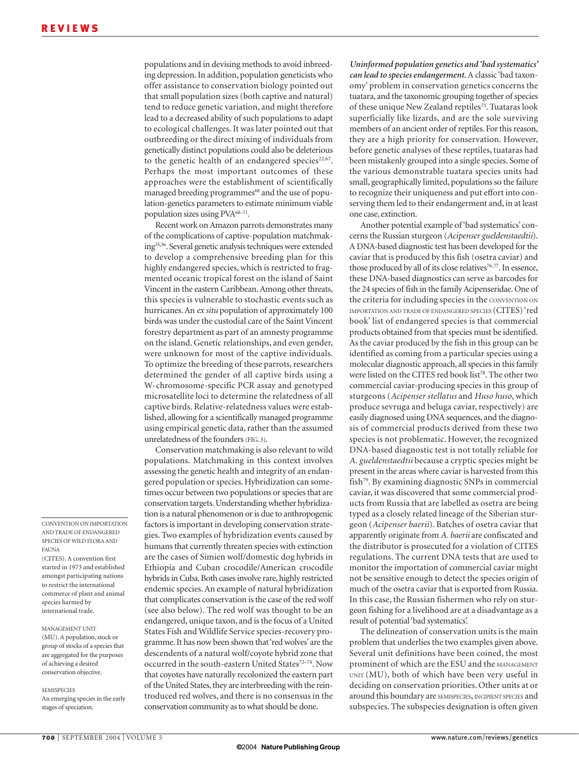populations and in devising methods to avoid inbreeding depression. In addition, population geneticists who offer assistance to conservation biology pointed out that small population sizes (both captive and natural) tend to reduce genetic variation, and might therefore lead to a decreased ability of such populations to adapt to ecological challenges. It was later pointed out that outbreeding or the direct mixing of individuals from genetically distinct populations could also be deleterious to the genetic health of an endangered species<sup>22,67</sup>. Perhaps the most important outcomes of these approaches were the establishment of scientifically managed breeding programmes<sup>68</sup> and the use of population-genetics parameters to estimate minimum viable population sizes using PVA68–71.

Recent work on Amazon parrots demonstrates many of the complications of captive-population matchmaking35,36. Several genetic analysis techniques were extended to develop a comprehensive breeding plan for this highly endangered species, which is restricted to fragmented oceanic tropical forest on the island of Saint Vincent in the eastern Caribbean. Among other threats, this species is vulnerable to stochastic events such as hurricanes. An *ex situ* population of approximately 100 birds was under the custodial care of the Saint Vincent forestry department as part of an amnesty programme on the island. Genetic relationships, and even gender, were unknown for most of the captive individuals. To optimize the breeding of these parrots, researchers determined the gender of all captive birds using a W-chromosome-specific PCR assay and genotyped microsatellite loci to determine the relatedness of all captive birds. Relative-relatedness values were established, allowing for a scientifically managed programme using empirical genetic data, rather than the assumed unrelatedness of the founders (FIG. 3).

Conservation matchmaking is also relevant to wild populations. Matchmaking in this context involves assessing the genetic health and integrity of an endangered population or species. Hybridization can sometimes occur between two populations or species that are conservation targets. Understanding whether hybridization is a natural phenomenon or is due to anthropogenic factors is important in developing conservation strategies. Two examples of hybridization events caused by humans that currently threaten species with extinction are the cases of Simien wolf/domestic dog hybrids in Ethiopia and Cuban crocodile/American crocodile hybrids in Cuba. Both cases involve rare, highly restricted endemic species. An example of natural hybridization that complicates conservation is the case of the red wolf (see also below). The red wolf was thought to be an endangered, unique taxon, and is the focus of a United States Fish and Wildlife Service species-recovery programme. It has now been shown that 'red wolves' are the descendents of a natural wolf/coyote hybrid zone that occurred in the south-eastern United States<sup>72-74</sup>. Now that coyotes have naturally recolonized the eastern part of the United States, they are interbreeding with the reintroduced red wolves, and there is no consensus in the conservation community as to what should be done.

*Uninformed population genetics and 'bad systematics' can lead to species endangerment.*A classic 'bad taxonomy' problem in conservation genetics concerns the tuatara, and the taxonomic grouping together of species of these unique New Zealand reptiles<sup>75</sup>. Tuataras look superficially like lizards, and are the sole surviving members of an ancient order of reptiles. For this reason, they are a high priority for conservation. However, before genetic analyses of these reptiles, tuataras had been mistakenly grouped into a single species. Some of the various demonstrable tuatara species units had small, geographically limited, populations so the failure to recognize their uniqueness and put effort into conserving them led to their endangerment and, in at least one case, extinction.

Another potential example of 'bad systematics' concerns the Russian sturgeon (*Acipenser gueldenstaedtii*). A DNA-based diagnostic test has been developed for the caviar that is produced by this fish (osetra caviar) and those produced by all of its close relatives<sup>76,77</sup>. In essence, these DNA-based diagnostics can serve as barcodes for the 24 species of fish in the family Acipenseridae. One of the criteria for including species in the CONVENTION ON IMPORTATION AND TRADE OF ENDANGERED SPECIES (CITES) 'red book' list of endangered species is that commercial products obtained from that species must be identified. As the caviar produced by the fish in this group can be identified as coming from a particular species using a molecular diagnostic approach, all species in this family were listed on the CITES red book list<sup>78</sup>. The other two commercial caviar-producing species in this group of sturgeons (*Acipenser stellatus* and *Huso huso*, which produce sevruga and beluga caviar, respectively) are easily diagnosed using DNA sequences, and the diagnosis of commercial products derived from these two species is not problematic. However, the recognized DNA-based diagnostic test is not totally reliable for *A. gueldenstaedtii* because a cryptic species might be present in the areas where caviar is harvested from this fish79. By examining diagnostic SNPs in commercial caviar, it was discovered that some commercial products from Russia that are labelled as osetra are being typed as a closely related lineage of the Siberian sturgeon (*Acipenser baerii*). Batches of osetra caviar that apparently originate from *A. baerii* are confiscated and the distributor is prosecuted for a violation of CITES regulations. The current DNA tests that are used to monitor the importation of commercial caviar might not be sensitive enough to detect the species origin of much of the osetra caviar that is exported from Russia. In this case, the Russian fishermen who rely on sturgeon fishing for a livelihood are at a disadvantage as a result of potential 'bad systematics'.

The delineation of conservation units is the main problem that underlies the two examples given above. Several unit definitions have been coined, the most prominent of which are the ESU and the MANAGEMENT UNIT (MU), both of which have been very useful in deciding on conservation priorities. Other units at or around this boundary are SEMISPECIES, INCIPIENT SPECIES and subspecies. The subspecies designation is often given

CONVENTION ON IMPORTATION AND TRADE OF ENDANGERED SPECIES OF WILD FLORA AND FAUNA

(CITES). A convention first started in 1973 and established amongst participating nations to restrict the international commerce of plant and animal species harmed by international trade.

MANAGEMENT UNIT (MU). A population, stock or group of stocks of a species that are aggregated for the purposes of achieving a desired conservation objective.

SEMISPECIES An emerging species in the early stages of speciation.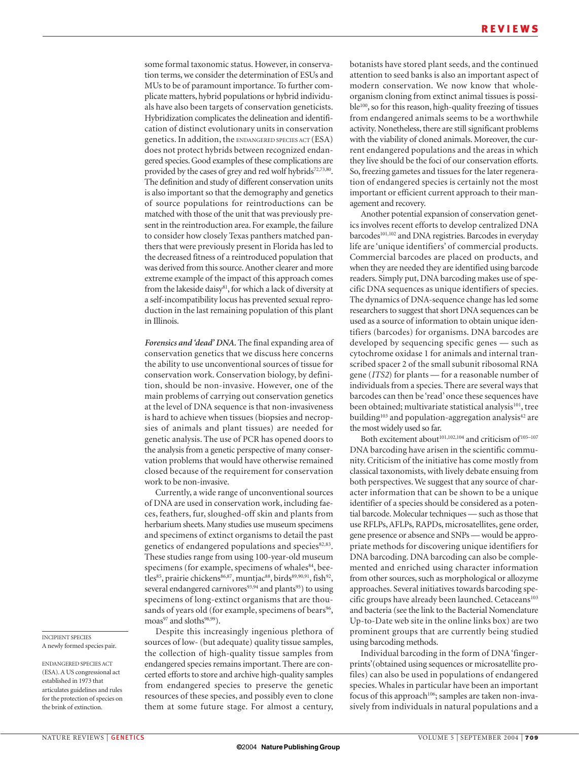some formal taxonomic status. However, in conservation terms, we consider the determination of ESUs and MUs to be of paramount importance. To further complicate matters, hybrid populations or hybrid individuals have also been targets of conservation geneticists. Hybridization complicates the delineation and identification of distinct evolutionary units in conservation genetics. In addition, the ENDANGERED SPECIES ACT (ESA) does not protect hybrids between recognized endangered species. Good examples of these complications are provided by the cases of grey and red wolf hybrids<sup>72,73,80</sup>. The definition and study of different conservation units is also important so that the demography and genetics of source populations for reintroductions can be matched with those of the unit that was previously present in the reintroduction area. For example, the failure to consider how closely Texas panthers matched panthers that were previously present in Florida has led to the decreased fitness of a reintroduced population that was derived from this source. Another clearer and more extreme example of the impact of this approach comes from the lakeside daisy<sup>81</sup>, for which a lack of diversity at a self-incompatibility locus has prevented sexual reproduction in the last remaining population of this plant in Illinois.

*Forensics and 'dead' DNA.* The final expanding area of conservation genetics that we discuss here concerns the ability to use unconventional sources of tissue for conservation work. Conservation biology, by definition, should be non-invasive. However, one of the main problems of carrying out conservation genetics at the level of DNA sequence is that non-invasiveness is hard to achieve when tissues (biopsies and necropsies of animals and plant tissues) are needed for genetic analysis. The use of PCR has opened doors to the analysis from a genetic perspective of many conservation problems that would have otherwise remained closed because of the requirement for conservation work to be non-invasive.

Currently, a wide range of unconventional sources of DNA are used in conservation work, including faeces, feathers, fur, sloughed-off skin and plants from herbarium sheets. Many studies use museum specimens and specimens of extinct organisms to detail the past genetics of endangered populations and species82,83. These studies range from using 100-year-old museum specimens (for example, specimens of whales<sup>84</sup>, beetles<sup>85</sup>, prairie chickens<sup>86,87</sup>, muntjac<sup>88</sup>, birds<sup>89,90,91</sup>, fish<sup>92</sup>, several endangered carnivores<sup>93,94</sup> and plants<sup>95</sup>) to using specimens of long-extinct organisms that are thousands of years old (for example, specimens of bears<sup>96</sup>, moas<sup>97</sup> and sloths<sup>98,99</sup>).

Despite this increasingly ingenious plethora of sources of low- (but adequate) quality tissue samples, the collection of high-quality tissue samples from endangered species remains important. There are concerted efforts to store and archive high-quality samples from endangered species to preserve the genetic resources of these species, and possibly even to clone them at some future stage. For almost a century, botanists have stored plant seeds, and the continued attention to seed banks is also an important aspect of modern conservation. We now know that wholeorganism cloning from extinct animal tissues is possible<sup>100</sup>, so for this reason, high-quality freezing of tissues from endangered animals seems to be a worthwhile activity. Nonetheless, there are still significant problems with the viability of cloned animals. Moreover, the current endangered populations and the areas in which they live should be the foci of our conservation efforts. So, freezing gametes and tissues for the later regeneration of endangered species is certainly not the most important or efficient current approach to their management and recovery.

Another potential expansion of conservation genetics involves recent efforts to develop centralized DNA barcodes<sup>101,102</sup> and DNA registries. Barcodes in everyday life are 'unique identifiers' of commercial products. Commercial barcodes are placed on products, and when they are needed they are identified using barcode readers. Simply put, DNA barcoding makes use of specific DNA sequences as unique identifiers of species. The dynamics of DNA-sequence change has led some researchers to suggest that short DNA sequences can be used as a source of information to obtain unique identifiers (barcodes) for organisms. DNA barcodes are developed by sequencing specific genes — such as cytochrome oxidase 1 for animals and internal transcribed spacer 2 of the small subunit ribosomal RNA gene (*ITS2*) for plants — for a reasonable number of individuals from a species. There are several ways that barcodes can then be 'read' once these sequences have been obtained; multivariate statistical analysis<sup>101</sup>, tree building<sup>103</sup> and population-aggregation analysis<sup>42</sup> are the most widely used so far.

Both excitement about<sup>101,102,104</sup> and criticism of  $105-107$ DNA barcoding have arisen in the scientific community. Criticism of the initiative has come mostly from classical taxonomists, with lively debate ensuing from both perspectives. We suggest that any source of character information that can be shown to be a unique identifier of a species should be considered as a potential barcode. Molecular techniques — such as those that use RFLPs, AFLPs, RAPDs, microsatellites, gene order, gene presence or absence and SNPs — would be appropriate methods for discovering unique identifiers for DNA barcoding. DNA barcoding can also be complemented and enriched using character information from other sources, such as morphological or allozyme approaches. Several initiatives towards barcoding specific groups have already been launched. Cetaceans<sup>103</sup> and bacteria (see the link to the Bacterial Nomenclature Up-to-Date web site in the online links box) are two prominent groups that are currently being studied using barcoding methods.

Individual barcoding in the form of DNA 'fingerprints'(obtained using sequences or microsatellite profiles) can also be used in populations of endangered species. Whales in particular have been an important focus of this approach<sup>106</sup>; samples are taken non-invasively from individuals in natural populations and a

INCIPIENT SPECIES A newly formed species pair.

ENDANGERED SPECIES ACT (ESA). A US congressional act established in 1973 that articulates guidelines and rules for the protection of species on the brink of extinction.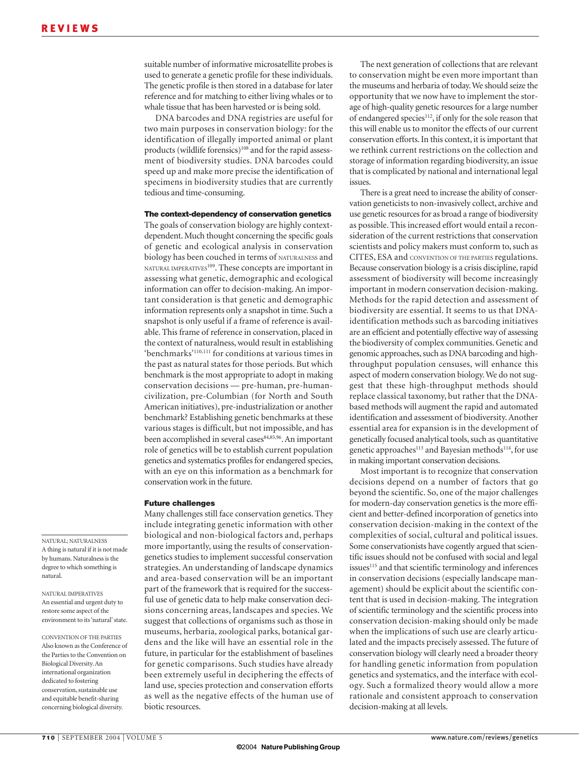suitable number of informative microsatellite probes is used to generate a genetic profile for these individuals. The genetic profile is then stored in a database for later reference and for matching to either living whales or to whale tissue that has been harvested or is being sold.

DNA barcodes and DNA registries are useful for two main purposes in conservation biology: for the identification of illegally imported animal or plant products (wildlife forensics)<sup>108</sup> and for the rapid assessment of biodiversity studies. DNA barcodes could speed up and make more precise the identification of specimens in biodiversity studies that are currently tedious and time-consuming.

## **The context-dependency of conservation genetics**

The goals of conservation biology are highly contextdependent. Much thought concerning the specific goals of genetic and ecological analysis in conservation biology has been couched in terms of NATURALNESS and NATURAL IMPERATIVES<sup>109</sup>. These concepts are important in assessing what genetic, demographic and ecological information can offer to decision-making. An important consideration is that genetic and demographic information represents only a snapshot in time. Such a snapshot is only useful if a frame of reference is available. This frame of reference in conservation, placed in the context of naturalness, would result in establishing 'benchmarks'110,111 for conditions at various times in the past as natural states for those periods. But which benchmark is the most appropriate to adopt in making conservation decisions — pre-human, pre-humancivilization, pre-Columbian (for North and South American initiatives), pre-industrialization or another benchmark? Establishing genetic benchmarks at these various stages is difficult, but not impossible, and has been accomplished in several cases<sup>84,85,96</sup>. An important role of genetics will be to establish current population genetics and systematics profiles for endangered species, with an eye on this information as a benchmark for conservation work in the future.

## **Future challenges**

Many challenges still face conservation genetics. They include integrating genetic information with other biological and non-biological factors and, perhaps more importantly, using the results of conservationgenetics studies to implement successful conservation strategies. An understanding of landscape dynamics and area-based conservation will be an important part of the framework that is required for the successful use of genetic data to help make conservation decisions concerning areas, landscapes and species. We suggest that collections of organisms such as those in museums, herbaria, zoological parks, botanical gardens and the like will have an essential role in the future, in particular for the establishment of baselines for genetic comparisons. Such studies have already been extremely useful in deciphering the effects of land use, species protection and conservation efforts as well as the negative effects of the human use of biotic resources.

The next generation of collections that are relevant to conservation might be even more important than the museums and herbaria of today. We should seize the opportunity that we now have to implement the storage of high-quality genetic resources for a large number of endangered species<sup>112</sup>, if only for the sole reason that this will enable us to monitor the effects of our current conservation efforts. In this context, it is important that we rethink current restrictions on the collection and storage of information regarding biodiversity, an issue that is complicated by national and international legal issues.

There is a great need to increase the ability of conservation geneticists to non-invasively collect, archive and use genetic resources for as broad a range of biodiversity as possible. This increased effort would entail a reconsideration of the current restrictions that conservation scientists and policy makers must conform to, such as CITES, ESA and CONVENTION OF THE PARTIES regulations. Because conservation biology is a crisis discipline, rapid assessment of biodiversity will become increasingly important in modern conservation decision-making. Methods for the rapid detection and assessment of biodiversity are essential. It seems to us that DNAidentification methods such as barcoding initiatives are an efficient and potentially effective way of assessing the biodiversity of complex communities. Genetic and genomic approaches, such as DNA barcoding and highthroughput population censuses, will enhance this aspect of modern conservation biology. We do not suggest that these high-throughput methods should replace classical taxonomy, but rather that the DNAbased methods will augment the rapid and automated identification and assessment of biodiversity. Another essential area for expansion is in the development of genetically focused analytical tools, such as quantitative genetic approaches<sup>113</sup> and Bayesian methods<sup>114</sup>, for use in making important conservation decisions.

Most important is to recognize that conservation decisions depend on a number of factors that go beyond the scientific. So, one of the major challenges for modern-day conservation genetics is the more efficient and better-defined incorporation of genetics into conservation decision-making in the context of the complexities of social, cultural and political issues. Some conservationists have cogently argued that scientific issues should not be confused with social and legal issues<sup>115</sup> and that scientific terminology and inferences in conservation decisions (especially landscape management) should be explicit about the scientific content that is used in decision-making. The integration of scientific terminology and the scientific process into conservation decision-making should only be made when the implications of such use are clearly articulated and the impacts precisely assessed. The future of conservation biology will clearly need a broader theory for handling genetic information from population genetics and systematics, and the interface with ecology. Such a formalized theory would allow a more rationale and consistent approach to conservation decision-making at all levels.

NATURAL; NATURALNESS A thing is natural if it is not made by humans. Naturalness is the degree to which something is natural.

NATURAL IMPERATIVES An essential and urgent duty to restore some aspect of the environment to its 'natural' state.

CONVENTION OF THE PARTIES Also known as the Conference of the Parties to the Convention on Biological Diversity. An international organization dedicated to fostering conservation, sustainable use and equitable benefit-sharing concerning biological diversity.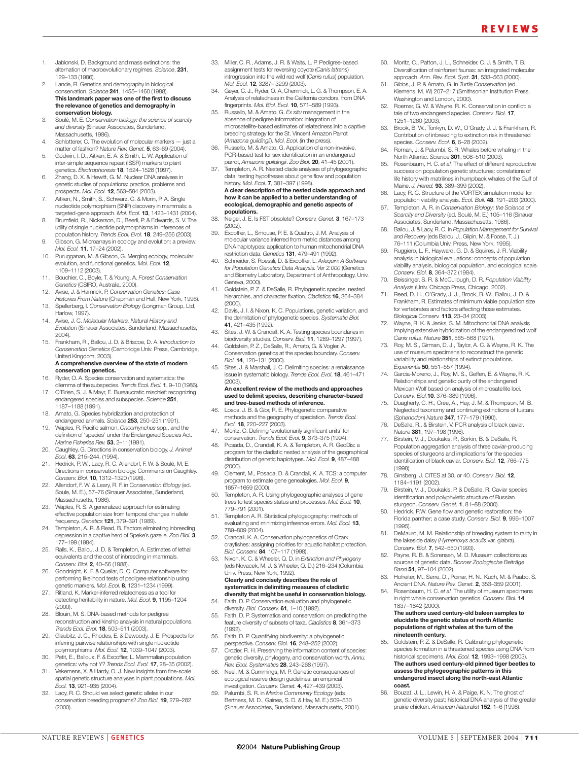- 1. Jablonski, D. Background and mass extinctions: the alternation of macroevolutionary regimes. *Science*, **231**, 129–133 (1986).
- Lande, R. Genetics and demography in biological conservation. *Science* **241**, 1455–1460 (1988). **This landmark paper was one of the first to discuss the relevance of genetics and demography in**
- **conservation biology.** 3. Soulé, M. E. *Conservation biology: the science of scarcity and diversity* (Sinauer Associates, Sunderland, Massachusetts, 1986).
- 4. Schlotterer, C. The evolution of molecular markers just a matter of fashion? *Nature Rev. Genet.* **5**, 63–69 (2004).
- 5. Godwin, I. D., Aitken, E. A. & Smith, L. W. Application of inter-simple sequence repeat (ISSR) markers to plant genetics. *Electrophoresis* **18**, 1524–1528 (1997).
- 6. Zhang, D. X. & Hewitt, G. M. Nuclear DNA analyses in genetic studies of populations: practice, problems and prospects. *Mol. Ecol.* **12**, 563–584 (2003).
- 7. Aitken, N., Smith, S., Schwarz, C. & Morin, P. A. Single nucleotide polymorphism (SNP) discovery in mammals: a targeted-gene approach. *Mol. Ecol.* **13**, 1423–1431 (2004).
- 8. Brumfield, R., Nickerson, D., Beerli, P. & Edwards, S. V. The utility of single nucleotide polymorphisms in inferences of population history. *Trends Ecol. Evol.* **18**, 249–256 (2003).
- 9. Gibson, G. Microarrays in ecology and evolution: a preview. *Mol. Ecol.* **11**, 17–24 (2002).
- 10. Purugganan, M. & Gibson, G. Merging ecology, molecular evolution, and functional genetics. *Mol. Ecol*. **12**, 1109–1112 (2003).
- 11. Bouchier, C., Boyle, T. & Young, A. *Forest Conservation Genetics* (CSIRO, Australia, 2000).
- 12. Avise, J. & Hamrick, P. *Conservation Genetics: Case Histories From Nature* (Chapman and Hall, New York, 1996).
- 13. Spellerberg, I. *Conservation Biology* (Longman Group, Ltd, Harlow, 1997).
- 14. Avise, J. C. *Molecular Markers, Natural History and Evolution* (Sinauer Associates, Sunderland, Massachusetts, 2004).
- 15. Frankham, R., Ballou, J. D. & Briscoe, D. A. *Introduction to Conservation Genetics* (Cambridge Univ. Press, Cambridge, United Kingdom, 2003). **A comprehensive overview of the state of modern**

#### **conservation genetics.** 16. Ryder, O. A. Species conservation and systematics: the

- dilemma of the subspecies. *Trends Ecol. Evol.* **1**, 9–10 (1986). 17. O'Brien, S. J. & Mayr, E. Bureaucratic mischief: recognizing
- endangered species and subspecies. *Science* **251**, 1187–1188 (1991).
- 18. Amato, G. Species hybridization and protection of endangered animals. *Science* **253**, 250–251 (1991).
- 19. Waples, R. Pacific salmon, *Oncorhynchus* spp., and the definition of 'species' under the Endangered Species Act. *Marine Fisheries Rev.* **53**, 2–11(1991).
- 20. Caughley, G. Directions in conservation biology. *J. Animal Ecol*. **63**, 215–244. (1994).
- 21. Hedrick, P. W., Lacy, R. C. Allendorf, F. W. & Soulé, M. E. Directions in conservation biology. Comments on Caughley. *Conserv. Biol.* **10**, 1312–1320 (1996).
- 22. Allendorf, F. W. & Leary, R. F. in *Conservation Biology* (ed. Soule, M. E.), 57–76 (Sinauer Associates, Sunderland, Massachusetts, 1986).
- 23. Waples, R. S. A generalized approach for estimating effective population size from temporal changes in allele frequency. *Genetics* **121**, 379–391 (1989).
- 24. Templeton, A. R. & Read, B. Factors eliminating inbreeding depression in a captive herd of Speke's gazelle. *Zoo Biol.* **3**, 177–199 (1984).
- 25. Ralls, K., Ballou, J. D. & Templeton, A. Estimates of lethal equivalents and the cost of inbreeding in mammals. *Conserv. Biol.* **2**, 40–56 (1988).
- 26. Goodnight, K. F. & Quellar, D. C. Computer software for performing likelihood tests of pedigree relationship using genetic markers. *Mol. Ecol.* **8**, 1231–1234 (1999). 27. Ritland, K. Marker-inferred relatedness as a tool for
- detecting heritability in nature. *Mol. Ecol.* **9**, 1195–1204 (2000).
- 28. Blouin, M. S. DNA-based methods for pedigree reconstruction and kinship analysis in natural populations. *Trends Ecol. Evol.* **18**, 503–511 (2003).
- 29. Glaubitz, J. C., Rhodes, E. & Dewoody, J. E. Prospects for inferring pairwise relationships with single nucleotide polymorphisms. *Mol. Ecol.* **12**, 1039–1047 (2003).
- 30. Petit, E., Balloux, F. & Excoffier, L. Mammalian population genetics: why not Y? *Trends Ecol. Evol.* **17**, 28–35 (2002).
- 31. Vekemens, X. & Hardy, O. J. New insights from fine-scale spatial genetic structure analyses in plant populations. *Mol. Ecol.* **13**, 921–935 (2004).
- 32. Lacy, R. C. Should we select genetic alleles in our conservation breeding programs? *Zoo Biol.* **19**, 279–282  $(2000)$
- 33. Miller, C. R., Adams, J. R. & Waits, L. P. Pedigree-based assignment tests for reversing coyote (*Canis latrans*) introgression into the wild red wolf (*Canis rufus*) population. *Mol. Ecol.* **12**, 3287– 3299 (2003).
- Geyer, C. J., Ryder, O. A, Chemnick, L. G. & Thompson, E. A. Analysis of relatedness in the California condors, from DNA fingerprints. *Mol. Biol. Evol.* **10**, 571–589 (1993).
- 35. Russello, M. & Amato, G. *Ex situ* management in the absence of pedigree information: integration of microsatellite-based estimates of relatedness into a captive breeding strategy for the St. Vincent Amazon Parrot (*Amazona guildingii*). *Mol. Ecol.* (in the press).
- 36. Russello, M. & Amato, G. Application of a non-invasive, PCR-based test for sex identification in an endangered parrot, *Amazona guildingii*. *Zoo Biol.* **20**, 41–45 (2001).
- Templeton, A. R. Nested clade analyses of phylogeographic data: testing hypotheses about gene flow and population history. *Mol. Ecol.* **7**, 381–397 (1998). **A clear description of the nested clade approach and how it can be applied to a better understanding of ecological, demographic and genetic aspects of populations.**
- 38. Neigel, J. E. Is FST obsolete? *Conserv. Genet.* **3**, 167–173 (2002).
- 39. Excoffier, L., Smouse, P. E. & Quattro, J. M. Analysis of molecular variance inferred from metric distances among DNA haplotypes: application to human mitochondrial DNA restriction data. *Genetics* **131**, 479–491 (1992).
- 40. Schneider, S. Roessli, D. & Excoffier, L. *Arlequin: A Software for Population Genetics Data Analysis. Ver 2.000* (Genetics and Biometry Laboratory, Department of Anthropology, Univ. Geneva, 2000).
- 41. Goldstein, P. Z. & DeSalle, R. Phylogenetic species, nested hierarchies, and character fixation. *Cladistics* **16**, 364–384 (2000).
- 42. Davis, J. I. & Nixon, K. C. Populations, genetic variation, and the delimitation of phylogenetic species. *Systematic Biol.* **41**, 421–435 (1992).
- 43. Sites, J. W. & Crandall, K. A. Testing species boundaries in biodiversity studies. *Conserv. Biol.* **11**, 1289–1297 (1997). 44. Goldstein, P. Z., DeSalle, R., Amato, G. & Vogler, A.
- Conservation genetics at the species boundary. *Conserv. Biol.* **14**, 120–131 (2000).
- 45. Sites, J. & Marshall, J. C. Delimiting species: a renaissance issue in systematic biology. *Trends Ecol. Evol.* **18**, 461–471 (2003).

#### **An excellent review of the methods and approaches used to delimit species, describing character-based and tree-based methods of inference.**

- 46. Losos, J. B. & Glor, R. E. Phylogenetic comparative methods and the geography of speciation. *Trends Ecol. Evol.* **18**, 220–227 (2003).
- Moritz, C. Defining 'evolutionarily significant units' for conservation. *Trends Ecol. Evol.* **9**, 373–375 (1994).
- 48. Posada, D., Crandall, K. A. & Templeton, A. R. GeoDis: a program for the cladistic nested analysis of the geographical distribution of genetic haplotypes. *Mol. Ecol.* **9**, 487–488 (2000).
- 49. Clement, M., Posada, D. & Crandall, K. A. TCS: a computer program to estimate gene genealogies. *Mol. Ecol.* **9**, 1657–1659 (2000).
- Templeton, A. R. Using phylogeographic analyses of gene trees to test species status and processes. *Mol. Ecol.* **10**, 779–791 (2001).
- 51. Templeton A. R. Statistical phylogeography: methods of evaluating and minimizing inference errors. *Mol. Ecol.* **13**, 789–809 (2004).
- 52. Crandall, K. A. Conservation phylogenetics of Ozark crayfishes: assigning priorities for aquatic habitat protection. *Biol. Conserv.* **84**, 107–117 (1998).
- 53. Nixon, K. C. & Wheeler, Q. D. in *Extinction and Phylogeny* (eds Novacek, M. J. & Wheeler, Q. D.) 216–234 (Columbia Univ. Press, New York, 1992). **Clearly and concisely describes the role of systematics in delimiting measures of cladistic**
- **diversity that might be useful in conservation biology.** Faith, D. P. Conservation evaluation and phylogenetic
- diversity. *Biol. Conserv.* **61**, 1–10 (1992). 55. Faith, D. P. Systematics and conservation: on predicting the feature diversity of subsets of taxa. *Cladistics* **8**, 361–373
- $(1992)$ 56. Faith, D. P. Quantifying biodiversity: a phylogenetic
- perspective. *Conserv. Biol.* **16**, 248–252 (2002). 57. Crozier, R. H. Preserving the information content of species:
- genetic diversity, phylogeny, and conservation worth. *Annu. Rev. Ecol. Systematics* **28**, 243–268 (1997). Neel, M. & Cummings, M. P. Genetic consequences of
- ecological reserve design guidelines: an empirical investigation. *Conserv. Genet.* **4**, 427–439 (2003).
- 59. Palumbi, S. R. in *Marine Community Ecology* (eds Bertness, M. D., Gaines, S. D. & Hay, M. E.) 509–530 (Sinauer Associates, Sunderland, Massachusetts, 2001).
- 60. Moritz, C., Patton, J. L., Schneider, C. J. & Smith, T. B. Diversification of rainforest faunas: an integrated molecular
- approach. *Ann. Rev. Ecol. Syst*. **31**, 533–563 (2000). 61. Gibbs, J. P. & Amato, G. in *Turtle Conservation* (ed. Klemens, M. W) 207–217 (Smithsonian Institution Press, Washington and London, 2000).
- 62. Roemer, G. W. & Wayne, R. K. Conservation in conflict: a tale of two endangered species. *Conserv. Biol.* **17**, 1251–1260 (2003).
- 63. Brook, B. W., Tonkyn, D. W., O'Grady, J. J. & Frankham, R. Contribution of inbreeding to extinction risk in threatened species. *Conserv. Ecol.* **6**, 6–28 (2002).
- Roman, J. & Palumbi, S. R. Whales before whaling in the North Atlantic. *Science* **301**, 508–510 (2003).
- 65. Rosenbaum, H. C. *et al.* The effect of different reproductive success on population genetic structures: correlations of life history with matrilines in humpback whales of the Gulf of Maine. *J. Hered.* **93**, 389–399 (2002).
- 66. Lacy, R. C. Structure of the VORTEX simulation model for population viability analysis. *Ecol. Bull.* **48**, 191–203 (2000).
- 67. Templeton, A. R. in *Conservation Biology: the Science of Scarcity and Diversity* (ed. Soulé, M. E.) 105–116 (Sinauer Associates, Sunderland, Massachusetts, 1986).
- 68. Ballou, J. & Lacy, R. C. in *Population Management for Survival and Recovery* (eds Ballou, J., Gilpin, M. & Foose, T. J.) 76–111 (Columbia Univ. Press, New York, 1995).
- Ruggiero, L. F., Hayward, G. D. & Squires, J. R. Viability analysis in biological evaluations: concepts of population viability analysis, biological population, and ecological scale. *Conserv. Biol.* **8**, 364–372 (1984).
- 70. Beissinger, S. R. & McCullough, D. R. *Population Viability Analysis* (Univ. Chicago Press, Chicago, 2002).
- Reed, D. H., O'Grady, J. J., Brook, B. W., Ballou, J. D. & Frankham, R. Estimates of minimum viable population size for vertebrates and factors affecting those estimates. *Biological Conserv.* **113**, 23–34 (2003).
- 72. Wayne, R. K. & Jenks, S. M. Mitochondrial DNA analysis implying extensive hybridization of the endangered red wolf *Canis rufus*. *Nature* **351**, 565–568 (1991).
- 73. Roy, M. S., Girman, D. J., Taylor, A. C. & Wayne, R. K. The use of museum specimens to reconstruct the genetic variability and relationships of extinct populations. *Experientia* **50**, 551–557 (1994).
- 74. Garcia-Moreno, J., Roy, M. S., Geffen, E. & Wayne, R. K. Relationships and genetic purity of the endangered Mexican Wolf based on analysis of microsatellite loci. *Conserv. Biol.***10**, 376–389 (1996).
- Duagherty, C. H., Cree, A., Hay, J. M. & Thompson, M. B. Neglected taxonomy and continuing extinctions of tuatara (*Sphenodon*) *Nature* **347**, 177–179 (1990).
- 76. DeSalle, R., & Birstein, V. PCR analysis of black caviar. *Nature* **381**, 197–198 (1996).
- 77. Birstein, V. J., Doukakis, P., Sorkin, B. & DeSalle, R. Population aggregation analysis of three caviar-producing species of sturgeons and implications for the species identification of black caviar. *Conserv. Biol.* **12**, 766–775 (1998).
- 78. Ginsberg, J. CITES at 30, or 40. *Conserv. Biol.* **12**, 1184–1191 (2002).
- Birstein, V. J., Doukakis, P. & DeSalle, R. Caviar species identification and polyphyletic structure of Russian sturgeon. *Conserv. Genet.* **1**, 81–88 (2000).
- 80. Hedrick, P.W. Gene flow and genetic restoration: the Florida panther; a case study. *Conserv. Biol.* **9**, 996–1007 (1995).
- 81. DeMauro, M. M. Relationship of breeding system to rarity in the lakeside daisy (*Hymenoxys acaulis* var. glabra). *Conserv. Biol.* **7**, 542–550 (1993).
- 82. Payne, R. B. & Sorensen, M. D. Museum collections as sources of genetic data. *Bonner Zoologische Beiträge*
- *Band* **51**, 97–104 (2002). 83. Hofreiter, M., Serre, D., Poinar, H. N., Kuch, M. & Paabo, S. Ancient DNA. *Nature Rev. Genet.* **2**, 353–359 (2001).
- 84. Rosenbaum, H. C. *et al.* The utility of museum specimens in right whale conservation genetics. *Conserv. Biol.* **14**, 1837–1842 (2000).

#### **The authors used century-old baleen samples to elucidate the genetic status of north Atlantic populations of right whales at the turn of the nineteenth century.**

- 85. Goldstein, P. Z. & DeSalle, R. Calibrating phylogenetic species formation in a threatened species using DNA from historical specimens. *Mol. Ecol.* **12**, 1993–1998 (2003). **The authors used century-old pinned tiger beetles to assess the phylogeographic patterns in this endangered insect along the north-east Atlantic coast.**
- 86. Bouzat, J. L., Lewin, H. A. & Paige, K. N. The ghost of genetic diversity past: historical DNA analysis of the greater prairie chicken. *American Naturalist* **152**, 1–6 (1998).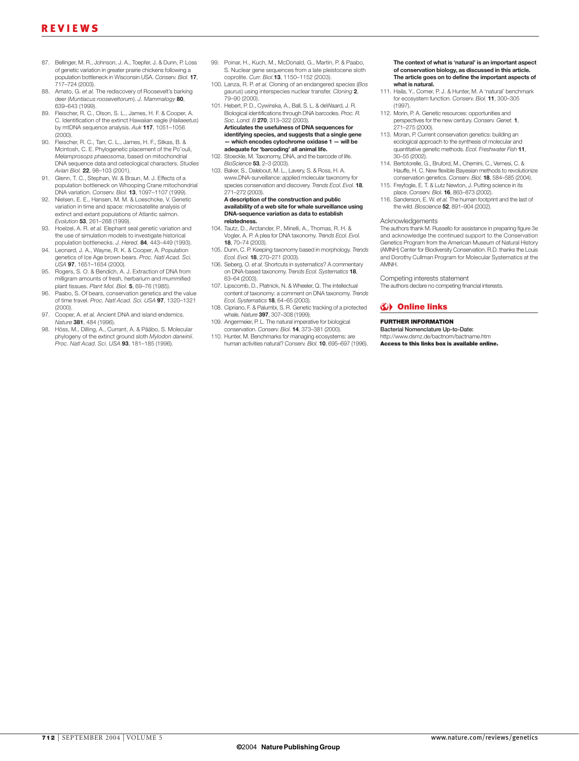- 87. Bellinger, M. R., Johnson, J. A., Toepfer, J. & Dunn, P. Loss of genetic variation in greater prairie chickens following a population bottleneck in Wisconsin USA. *Conserv. Biol.* **17**, 717–724 (2003).
- 88. Amato, G. *et al.* The rediscovery of Roosevelt's barking deer (*Muntiacus rooseveltorum*). *J. Mammalogy* **80**, 639–643 (1999).
- 89. Fleischer, R. C., Olson, S. L., James, H. F. & Cooper, A. C. Identification of the extinct Hawaiian eagle (*Haliaeetus*) by mtDNA sequence analysis. *Auk* **117**, 1051–1056 (2000).
- 90. Fleischer, R. C., Tarr, C. L., James, H. F., Slikas, B. & Mcintosh, C. E. Phylogenetic placement of the Po'ouli, *Melamprosops phaeosoma*, based on mitochondrial DNA sequence data and osteological characters. *Studies Avian Biol.* **22**, 98–103 (2001).
- 91. Glenn, T. C., Stephan, W. & Braun, M. J. Effects of a population bottleneck on Whooping Crane mitochondrial DNA variation. *Conserv. Biol.* **13**, 1097–1107 (1999).
- 92. Nielsen, E. E., Hansen, M. M. & Loeschcke, V. Genetic variation in time and space: microsatellite analysis of extinct and extant populations of Atlantic salmon. *Evolution* **53**, 261–268 (1999).
- 93. Hoelzel, A. R. *et al.* Elephant seal genetic variation and the use of simulation models to investigate historical population bottlenecks. *J. Hered.* **84**, 443–449 (1993).
- 94. Leonard, J. A., Wayne, R. K. & Cooper, A. Population genetics of Ice Age brown bears. *Proc. Natl Acad. Sci. USA* **97**, 1651–1654 (2000).
- 95. Rogers, S. O. & Bendich, A. J. Extraction of DNA from milligram amounts of fresh, herbarium and mummified plant tissues. *Plant Mol. Biol.* **5**, 69–76 (1985).
- 96. Paabo, S. Of bears, conservation genetics and the value of time travel. *Proc. Natl Acad. Sci. USA* **97**, 1320–1321 (2000).
- 97. Cooper, A. *et al.* Ancient DNA and island endemics. *Nature* **381**, 484 (1996).
- 98. Höss, M., Dilling, A., Currant, A. & Pääbo, S. Molecular phylogeny of the extinct ground sloth *Mylodon darwinii*. *Proc. Natl Acad. Sci. USA* **93**, 181–185 (1996).
- 99. Poinar, H., Kuch, M., McDonald, G., Martin, P. & Paabo, S. Nuclear gene sequences from a late pleistocene sloth coprolite. *Curr. Biol*.**13**, 1150–1152 (2003).
- 100. Lanza, R. P. *et al.* Cloning of an endangered species (*Bos gaurus*) using interspecies nuclear transfer. *Cloning* **2**, 79–90 (2000).
- 101. Hebert, P. D., Cywinska, A., Ball, S. L. & deWaard, J. R. Biological identifications through DNA barcodes. *Proc. R. Soc. Lond. B* **270**, 313–322 (2003). **Articulates the usefulness of DNA sequences for**

**identifying species, and suggests that a single gene** which encodes cytochrome oxidase 1 **adequate for 'barcoding' all animal life.**

- 102. Stoeckle, M. Taxonomy, DNA, and the barcode of life. *BioScience* **53**, 2–3 (2003).
- 103. Baker, S., Dalebout, M. L., Lavery, S. & Ross, H. A. www.DNA-surveillance: applied molecular taxonomy for species conservation and discovery. *Trends Ecol. Evol.* **18**, 271–272 (2003). **A description of the construction and public**

**availability of a web site for whale surveillance using DNA-sequence variation as data to establish relatedness.**

- 104. Tautz, D., Arctander, P., Minelli, A., Thomas, R. H. & Vogler, A. P. A plea for DNA taxonomy. *Trends Ecol. Evol.* **18**, 70–74 (2003).
- 105. Dunn, C. P. Keeping taxonomy based in morphology. *Trends Ecol. Evol.* **18**, 270–271 (2003).
- 106. Seberg, O. *et al.* Shortcuts in systematics? A commentary on DNA-based taxonomy. *Trends Ecol. Systematics* **18**, 63–64 (2003).
- 107. Lipscomb, D., Platnick, N. & Wheeler, Q. The intellectual content of taxonomy: a comment on DNA taxonomy. *Trends Ecol. Systematics* **18**, 64–65 (2003).
- 108. Cipriano, F. & Palumbi, S. R. Genetic tracking of a protected whale. *Nature* **397**, 307–308 (1999).
- 109. Angermeier, P. L. The natural imperative for biological conservation. *Conserv. Biol.* **14**, 373–381 (2000).
- 110. Hunter, M. Benchmarks for managing ecosystems: are human activities natural? *Conserv. Biol.* **10**, 695–697 (1996).

**The context of what is 'natural' is an important aspect of conservation biology, as discussed in this article. The article goes on to define the important aspects of what is natural.**

- 111. Haila, Y., Comer, P. J. & Hunter, M. A 'natural' benchmark for ecosystem function. *Conserv. Biol.* **11**, 300–305 (1997).
- 112. Morin, P. A. Genetic resources: opportunities and perspectives for the new century. *Conserv. Genet.* **1**, 271–275 (2000).
- 113. Moran, P. Current conservation genetics: building an ecological approach to the synthesis of molecular and quantitative genetic methods. *Ecol. Freshwater Fish* **11**, 30–55 (2002).
- 114. Bertotorelle, G., Bruford, M., Chemini, C., Vernesi, C. & Hauffe, H. C. New flexible Bayesian methods to revolutionize conservation genetics. *Conserv. Biol.* **18**, 584–585 (2004).
- 115. Freyfogle, E. T. & Lutz Newton, J. Putting science in its place. *Conserv. Biol.* **16**, 863–873 (2002).
- 116. Sanderson, E. W. et al. The human footprint and the last of the wild. *Bioscience* **52**, 891–904 (2002).

#### Acknowledgements

The authors thank M. Russello for assistance in preparing figure 3e and acknowledge the continued support to the Conservation Genetics Program from the American Museum of Natural History (AMNH) Center for Biodiversity Conservation. R.D. thanks the Louis and Dorothy Cullman Program for Molecular Systematics at the AMNH.

Competing interests statement The authors declare no competing financial interests.

# **Online links**

## **FURTHER INFORMATION**

**Bacterial Nomenclature Up-to-Date:** http://www.dsmz.de/bactnom/bactname.htm **Access to this links box is available online.**